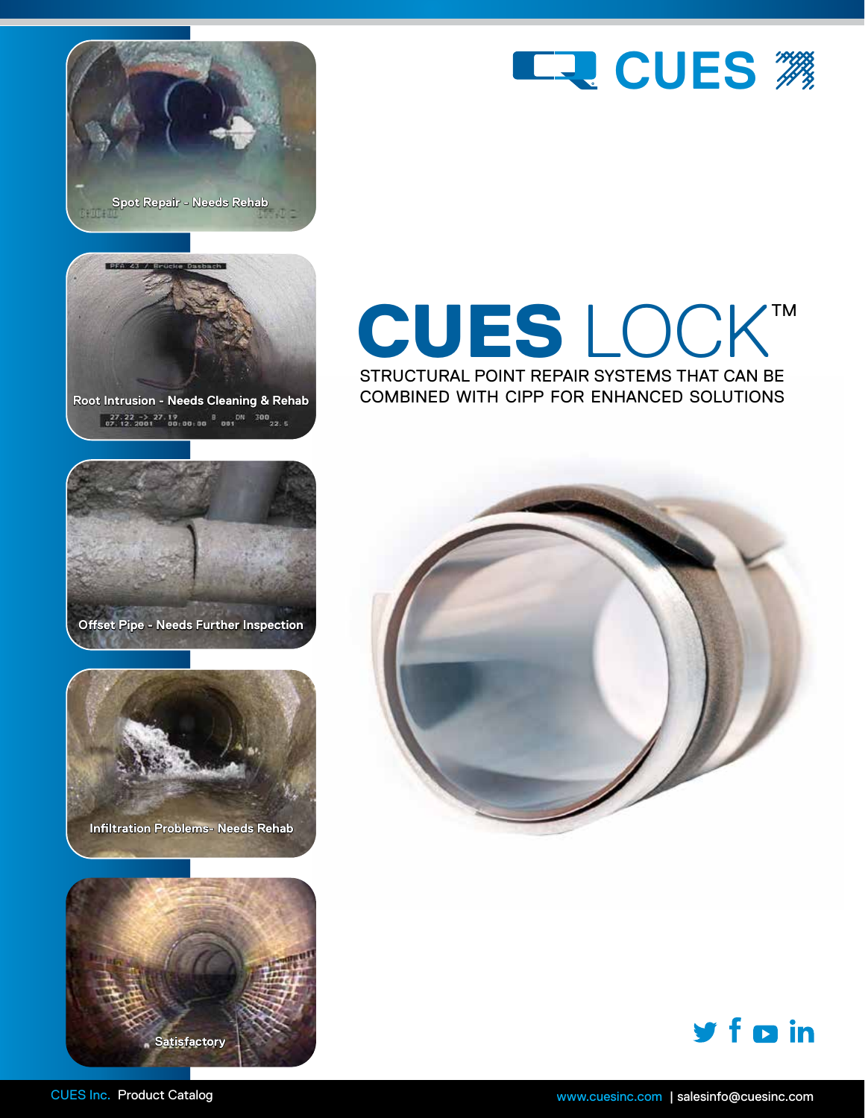







**Offset Pipe - Needs Further Inspection**





# CUES LOCK™ STRUCTURAL POINT REPAIR SYSTEMS THAT CAN BE

COMBINED WITH CIPP FOR ENHANCED SOLUTIONS